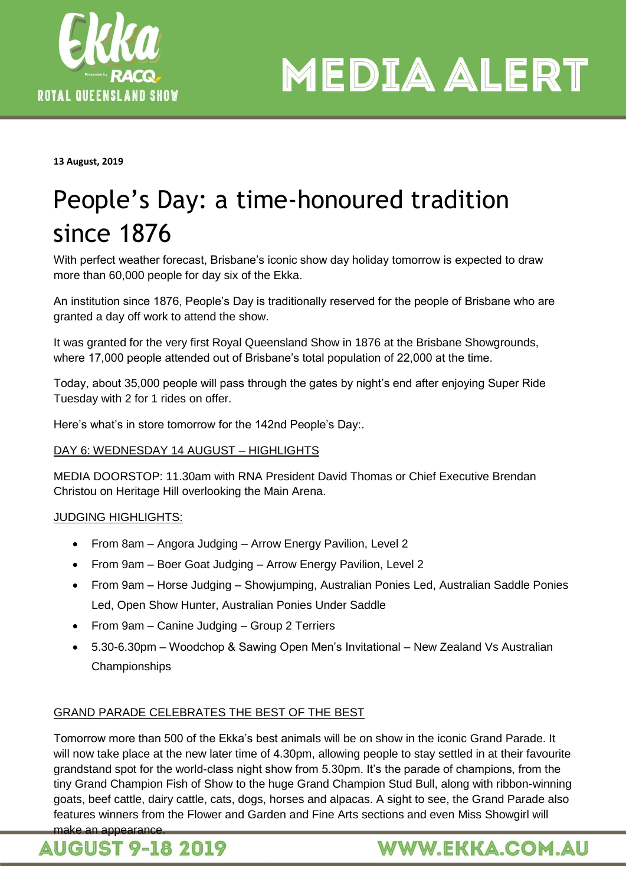

**MEDIA ALERT** 

**13 August, 2019**

## People's Day: a time-honoured tradition since 1876

With perfect weather forecast, Brisbane's iconic show day holiday tomorrow is expected to draw more than 60,000 people for day six of the Ekka.

An institution since 1876, People's Day is traditionally reserved for the people of Brisbane who are granted a day off work to attend the show.

It was granted for the very first Royal Queensland Show in 1876 at the Brisbane Showgrounds, where 17,000 people attended out of Brisbane's total population of 22,000 at the time.

Today, about 35,000 people will pass through the gates by night's end after enjoying Super Ride Tuesday with 2 for 1 rides on offer.

Here's what's in store tomorrow for the 142nd People's Day:.

#### DAY 6: WEDNESDAY 14 AUGUST – HIGHLIGHTS

MEDIA DOORSTOP: 11.30am with RNA President David Thomas or Chief Executive Brendan Christou on Heritage Hill overlooking the Main Arena.

#### JUDGING HIGHLIGHTS:

- From 8am Angora Judging Arrow Energy Pavilion, Level 2
- From 9am Boer Goat Judging Arrow Energy Pavilion, Level 2
- From 9am Horse Judging Showjumping, Australian Ponies Led, Australian Saddle Ponies Led, Open Show Hunter, Australian Ponies Under Saddle
- From 9am Canine Judging Group 2 Terriers
- 5.30-6.30pm Woodchop & Sawing Open Men's Invitational New Zealand Vs Australian Championships

#### GRAND PARADE CELEBRATES THE BEST OF THE BEST

Tomorrow more than 500 of the Ekka's best animals will be on show in the iconic Grand Parade. It will now take place at the new later time of 4.30pm, allowing people to stay settled in at their favourite grandstand spot for the world-class night show from 5.30pm. It's the parade of champions, from the tiny Grand Champion Fish of Show to the huge Grand Champion Stud Bull, along with ribbon-winning goats, beef cattle, dairy cattle, cats, dogs, horses and alpacas. A sight to see, the Grand Parade also features winners from the Flower and Garden and Fine Arts sections and even Miss Showgirl will make an appearance



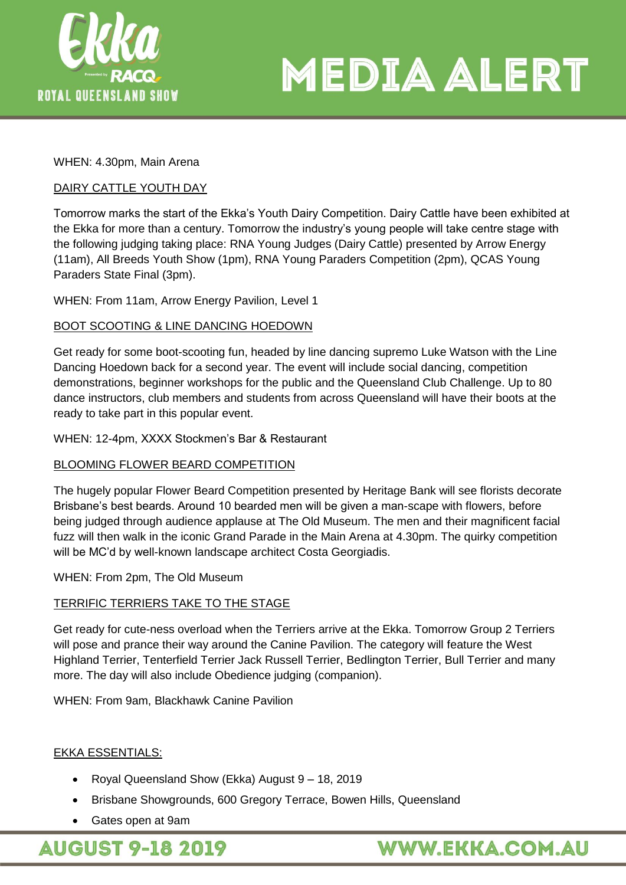

# **MEDIA ALERT**

WHEN: 4.30pm, Main Arena

#### DAIRY CATTLE YOUTH DAY

Tomorrow marks the start of the Ekka's Youth Dairy Competition. Dairy Cattle have been exhibited at the Ekka for more than a century. Tomorrow the industry's young people will take centre stage with the following judging taking place: RNA Young Judges (Dairy Cattle) presented by Arrow Energy (11am), All Breeds Youth Show (1pm), RNA Young Paraders Competition (2pm), QCAS Young Paraders State Final (3pm).

WHEN: From 11am, Arrow Energy Pavilion, Level 1

#### BOOT SCOOTING & LINE DANCING HOEDOWN

Get ready for some boot-scooting fun, headed by line dancing supremo Luke Watson with the Line Dancing Hoedown back for a second year. The event will include social dancing, competition demonstrations, beginner workshops for the public and the Queensland Club Challenge. Up to 80 dance instructors, club members and students from across Queensland will have their boots at the ready to take part in this popular event.

WHEN: 12-4pm, XXXX Stockmen's Bar & Restaurant

#### BLOOMING FLOWER BEARD COMPETITION

The hugely popular Flower Beard Competition presented by Heritage Bank will see florists decorate Brisbane's best beards. Around 10 bearded men will be given a man-scape with flowers, before being judged through audience applause at The Old Museum. The men and their magnificent facial fuzz will then walk in the iconic Grand Parade in the Main Arena at 4.30pm. The quirky competition will be MC'd by well-known landscape architect Costa Georgiadis.

#### WHEN: From 2pm, The Old Museum

#### TERRIFIC TERRIERS TAKE TO THE STAGE

Get ready for cute-ness overload when the Terriers arrive at the Ekka. Tomorrow Group 2 Terriers will pose and prance their way around the Canine Pavilion. The category will feature the West Highland Terrier, Tenterfield Terrier Jack Russell Terrier, Bedlington Terrier, Bull Terrier and many more. The day will also include Obedience judging (companion).

WHEN: From 9am, Blackhawk Canine Pavilion

#### EKKA ESSENTIALS:

- Royal Queensland Show (Ekka) August 9 18, 2019
- Brisbane Showgrounds, 600 Gregory Terrace, Bowen Hills, Queensland
- Gates open at 9am

**AUGUST 9-18 2019** 

### **WWW.EKKA.COM.AU**